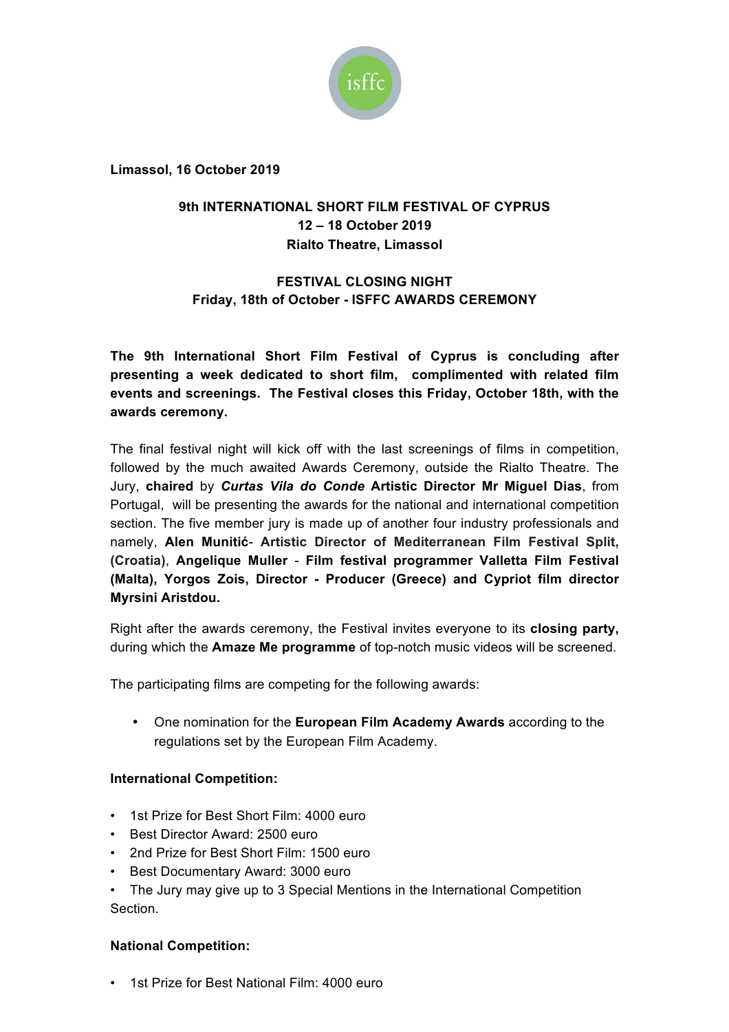

**Limassol, 16 October 2019**

## **9th INTERNATIONAL SHORT FILM FESTIVAL OF CYPRUS 12 – 18 October 2019 Rialto Theatre, Limassol**

# **FESTIVAL CLOSING NIGHT Friday, 18th of October - ISFFC AWARDS CEREMONY**

**The 9th International Short Film Festival of Cyprus is concluding after presenting a week dedicated to short film, complimented with related film events and screenings. The Festival closes this Friday, October 18th, with the awards ceremony.**

The final festival night will kick off with the last screenings of films in competition, followed by the much awaited Awards Ceremony, outside the Rialto Theatre. The Jury, **chaired** by *Curtas Vila do Conde* **Artistic Director Mr Miguel Dias**, from Portugal, will be presenting the awards for the national and international competition section. The five member jury is made up of another four industry professionals and namely, **Alen Munitić**- **Artistic Director of Mediterranean Film Festival Split, (Croatia)**, **Angelique Muller** - **Film festival programmer Valletta Film Festival (Malta), Yorgos Zois, Director - Producer (Greece) and Cypriot film director Myrsini Aristdou.**

Right after the awards ceremony, the Festival invites everyone to its **closing party,**  during which the **Amaze Me programme** of top-notch music videos will be screened.

The participating films are competing for the following awards:

• One nomination for the **European Film Academy Awards** according to the regulations set by the European Film Academy.

### **International Competition:**

- 1st Prize for Best Short Film: 4000 euro
- Best Director Award: 2500 euro
- 2nd Prize for Best Short Film: 1500 euro
- Best Documentary Award: 3000 euro
- The Jury may give up to 3 Special Mentions in the International Competition **Section**

#### **National Competition:**

• 1st Prize for Best National Film: 4000 euro